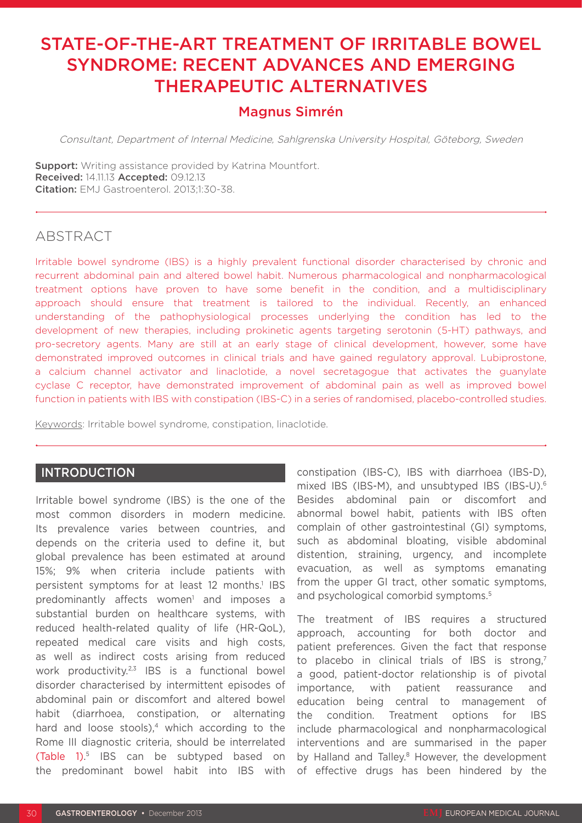# STATE-OF-THE-ART TREATMENT OF IRRITABLE BOWEL SYNDROME: RECENT ADVANCES AND EMERGING THERAPEUTIC ALTERNATIVES

## Magnus Simrén

Consultant, Department of Internal Medicine, Sahlgrenska University Hospital, Göteborg, Sweden

**Support:** Writing assistance provided by Katrina Mountfort. Received: 14.11.13 Accepted: 09.12.13 Citation: EMJ Gastroenterol. 2013;1:30-38.

## ABSTRACT

Irritable bowel syndrome (IBS) is a highly prevalent functional disorder characterised by chronic and recurrent abdominal pain and altered bowel habit. Numerous pharmacological and nonpharmacological treatment options have proven to have some benefit in the condition, and a multidisciplinary approach should ensure that treatment is tailored to the individual. Recently, an enhanced understanding of the pathophysiological processes underlying the condition has led to the development of new therapies, including prokinetic agents targeting serotonin (5-HT) pathways, and pro-secretory agents. Many are still at an early stage of clinical development, however, some have demonstrated improved outcomes in clinical trials and have gained regulatory approval. Lubiprostone, a calcium channel activator and linaclotide, a novel secretagogue that activates the guanylate cyclase C receptor, have demonstrated improvement of abdominal pain as well as improved bowel function in patients with IBS with constipation (IBS-C) in a series of randomised, placebo-controlled studies.

Keywords: Irritable bowel syndrome, constipation, linaclotide.

#### **INTRODUCTION**

Irritable bowel syndrome (IBS) is the one of the most common disorders in modern medicine. Its prevalence varies between countries, and depends on the criteria used to define it, but global prevalence has been estimated at around 15%; 9% when criteria include patients with persistent symptoms for at least 12 months.<sup>1</sup> IBS predominantly affects women<sup>1</sup> and imposes a substantial burden on healthcare systems, with reduced health-related quality of life (HR-QoL), repeated medical care visits and high costs, as well as indirect costs arising from reduced work productivity.<sup>2,3</sup> IBS is a functional bowel disorder characterised by intermittent episodes of abdominal pain or discomfort and altered bowel habit (diarrhoea, constipation, or alternating hard and loose stools), $4$  which according to the Rome III diagnostic criteria, should be interrelated (Table 1). 5 IBS can be subtyped based on the predominant bowel habit into IBS with

constipation (IBS-C), IBS with diarrhoea (IBS-D), mixed IBS (IBS-M), and unsubtyped IBS (IBS-U).6 Besides abdominal pain or discomfort and abnormal bowel habit, patients with IBS often complain of other gastrointestinal (GI) symptoms, such as abdominal bloating, visible abdominal distention, straining, urgency, and incomplete evacuation, as well as symptoms emanating from the upper GI tract, other somatic symptoms, and psychological comorbid symptoms.<sup>5</sup>

The treatment of IBS requires a structured approach, accounting for both doctor and patient preferences. Given the fact that response to placebo in clinical trials of IBS is strong.<sup>7</sup> a good, patient-doctor relationship is of pivotal importance, with patient reassurance and education being central to management of the condition. Treatment options for IBS include pharmacological and nonpharmacological interventions and are summarised in the paper by Halland and Talley.<sup>8</sup> However, the development of effective drugs has been hindered by the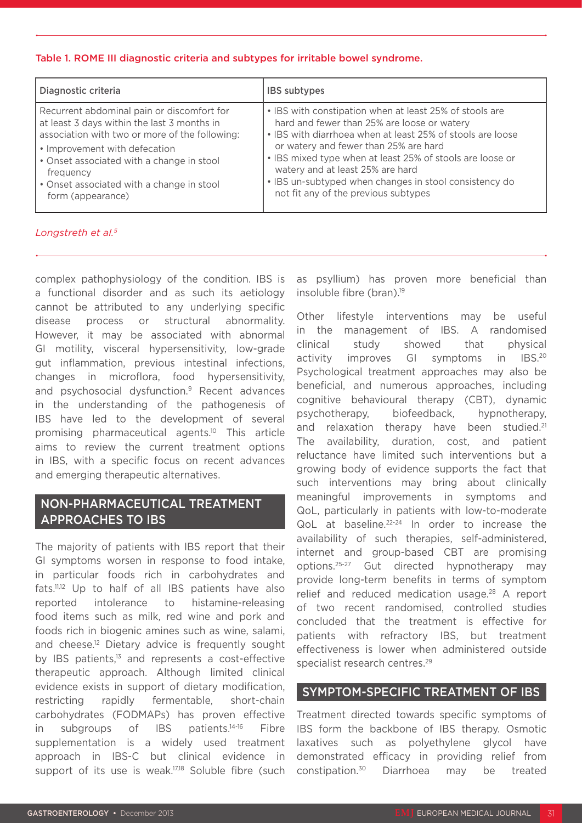#### Table 1. ROME III diagnostic criteria and subtypes for irritable bowel syndrome.

| Diagnostic criteria                            | <b>IBS</b> subtypes                                        |
|------------------------------------------------|------------------------------------------------------------|
| Recurrent abdominal pain or discomfort for     | • IBS with constipation when at least 25% of stools are    |
| at least 3 days within the last 3 months in    | hard and fewer than 25% are loose or watery                |
| association with two or more of the following: | • IBS with diarrhoea when at least 25% of stools are loose |
| • Improvement with defecation                  | or watery and fewer than 25% are hard                      |
| • Onset associated with a change in stool      | • IBS mixed type when at least 25% of stools are loose or  |
| frequency                                      | watery and at least 25% are hard                           |
| • Onset associated with a change in stool      | • IBS un-subtyped when changes in stool consistency do     |
| form (appearance)                              | not fit any of the previous subtypes                       |

#### *Longstreth et al.5*

complex pathophysiology of the condition. IBS is a functional disorder and as such its aetiology cannot be attributed to any underlying specific disease process or structural abnormality. However, it may be associated with abnormal GI motility, visceral hypersensitivity, low-grade gut inflammation, previous intestinal infections, changes in microflora, food hypersensitivity, and psychosocial dysfunction.9 Recent advances in the understanding of the pathogenesis of IBS have led to the development of several promising pharmaceutical agents.10 This article aims to review the current treatment options in IBS, with a specific focus on recent advances and emerging therapeutic alternatives.

## NON-PHARMACEUTICAL TREATMENT APPROACHES TO IBS

The majority of patients with IBS report that their GI symptoms worsen in response to food intake, in particular foods rich in carbohydrates and fats.11,12 Up to half of all IBS patients have also reported intolerance to histamine-releasing food items such as milk, red wine and pork and foods rich in biogenic amines such as wine, salami, and cheese.<sup>12</sup> Dietary advice is frequently sought by IBS patients,<sup>13</sup> and represents a cost-effective therapeutic approach. Although limited clinical evidence exists in support of dietary modification, restricting rapidly fermentable, short-chain carbohydrates (FODMAPs) has proven effective in subgroups of IBS patients.14-16 Fibre supplementation is a widely used treatment approach in IBS-C but clinical evidence in support of its use is weak.<sup>17,18</sup> Soluble fibre (such as psyllium) has proven more beneficial than insoluble fibre (bran).<sup>19</sup>

Other lifestyle interventions may be useful in the management of IBS. A randomised clinical study showed that physical activity improves GI symptoms in IBS.<sup>20</sup> Psychological treatment approaches may also be beneficial, and numerous approaches, including cognitive behavioural therapy (CBT), dynamic psychotherapy, biofeedback, hypnotherapy, and relaxation therapy have been studied.<sup>21</sup> The availability, duration, cost, and patient reluctance have limited such interventions but a growing body of evidence supports the fact that such interventions may bring about clinically meaningful improvements in symptoms and QoL, particularly in patients with low-to-moderate QoL at baseline.<sup>22-24</sup> In order to increase the availability of such therapies, self-administered, internet and group-based CBT are promising options.25-27 Gut directed hypnotherapy may provide long-term benefits in terms of symptom relief and reduced medication usage.<sup>28</sup> A report of two recent randomised, controlled studies concluded that the treatment is effective for patients with refractory IBS, but treatment effectiveness is lower when administered outside specialist research centres.<sup>29</sup>

### SYMPTOM-SPECIFIC TREATMENT OF IBS

Treatment directed towards specific symptoms of IBS form the backbone of IBS therapy. Osmotic laxatives such as polyethylene glycol have demonstrated efficacy in providing relief from constipation.30 Diarrhoea may be treated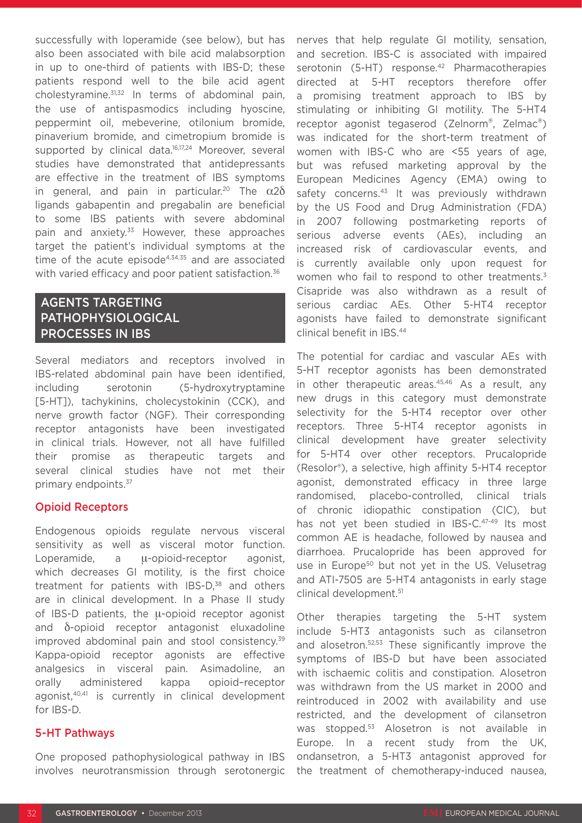successfully with loperamide (see below), but has also been associated with bile acid malabsorption in up to one-third of patients with IBS-D; these patients respond well to the bile acid agent cholestyramine.31,32 In terms of abdominal pain, the use of antispasmodics including hyoscine, peppermint oil, mebeverine, otilonium bromide, pinaverium bromide, and cimetropium bromide is supported by clinical data.<sup>16,17,24</sup> Moreover, several studies have demonstrated that antidepressants are effective in the treatment of IBS symptoms in general, and pain in particular.<sup>20</sup> The  $\alpha$ 2 $\delta$ ligands gabapentin and pregabalin are beneficial to some IBS patients with severe abdominal pain and anxiety.<sup>33</sup> However, these approaches target the patient's individual symptoms at the time of the acute episode $4,34,35$  and are associated with varied efficacy and poor patient satisfaction.<sup>36</sup>

## AGENTS TARGETING PATHOPHYSIOLOGICAL PROCESSES IN IBS

Several mediators and receptors involved in IBS-related abdominal pain have been identified, including serotonin (5-hydroxytryptamine [5-HT]), tachykinins, cholecystokinin (CCK), and nerve growth factor (NGF). Their corresponding receptor antagonists have been investigated in clinical trials. However, not all have fulfilled their promise as therapeutic targets and several clinical studies have not met their primary endpoints.37

### Opioid Receptors

Endogenous opioids regulate nervous visceral sensitivity as well as visceral motor function. Loperamide, a μ-opioid-receptor agonist, which decreases GI motility, is the first choice treatment for patients with IBS-D,<sup>38</sup> and others are in clinical development. In a Phase II study of IBS-D patients, the μ-opioid receptor agonist and δ-opioid receptor antagonist eluxadoline improved abdominal pain and stool consistency.<sup>39</sup> Kappa-opioid receptor agonists are effective analgesics in visceral pain. Asimadoline, an orally administered kappa opioid–receptor agonist,40,41 is currently in clinical development for IBS-D.

#### 5-HT Pathways

One proposed pathophysiological pathway in IBS involves neurotransmission through serotonergic

nerves that help regulate GI motility, sensation, and secretion. IBS-C is associated with impaired serotonin (5-HT) response.<sup>42</sup> Pharmacotherapies directed at 5-HT receptors therefore offer a promising treatment approach to IBS by stimulating or inhibiting GI motility. The 5-HT4 receptor agonist tegaserod (Zelnorm®, Zelmac®) was indicated for the short-term treatment of women with IBS-C who are <55 years of age, but was refused marketing approval by the European Medicines Agency (EMA) owing to safety concerns.<sup>43</sup> It was previously withdrawn by the US Food and Drug Administration (FDA) in 2007 following postmarketing reports of serious adverse events (AEs), including an increased risk of cardiovascular events, and is currently available only upon request for women who fail to respond to other treatments.<sup>3</sup> Cisapride was also withdrawn as a result of serious cardiac AEs. Other 5-HT4 receptor agonists have failed to demonstrate significant clinical benefit in IBS.44

The potential for cardiac and vascular AEs with 5-HT receptor agonists has been demonstrated in other therapeutic areas.<sup>45,46</sup> As a result, any new drugs in this category must demonstrate selectivity for the 5-HT4 receptor over other receptors. Three 5-HT4 receptor agonists in clinical development have greater selectivity for 5-HT4 over other receptors. Prucalopride (Resolor®), a selective, high affinity 5-HT4 receptor agonist, demonstrated efficacy in three large randomised, placebo-controlled, clinical trials of chronic idiopathic constipation (CIC), but has not yet been studied in IBS-C.<sup>47-49</sup> Its most common AE is headache, followed by nausea and diarrhoea. Prucalopride has been approved for use in Europe<sup>50</sup> but not yet in the US. Velusetrag and ATI-7505 are 5-HT4 antagonists in early stage clinical development.<sup>51</sup>

Other therapies targeting the 5-HT system include 5-HT3 antagonists such as cilansetron and alosetron.52,53 These significantly improve the symptoms of IBS-D but have been associated with ischaemic colitis and constipation. Alosetron was withdrawn from the US market in 2000 and reintroduced in 2002 with availability and use restricted, and the development of cilansetron was stopped.<sup>53</sup> Alosetron is not available in Europe. In a recent study from the UK, ondansetron, a 5-HT3 antagonist approved for the treatment of chemotherapy-induced nausea,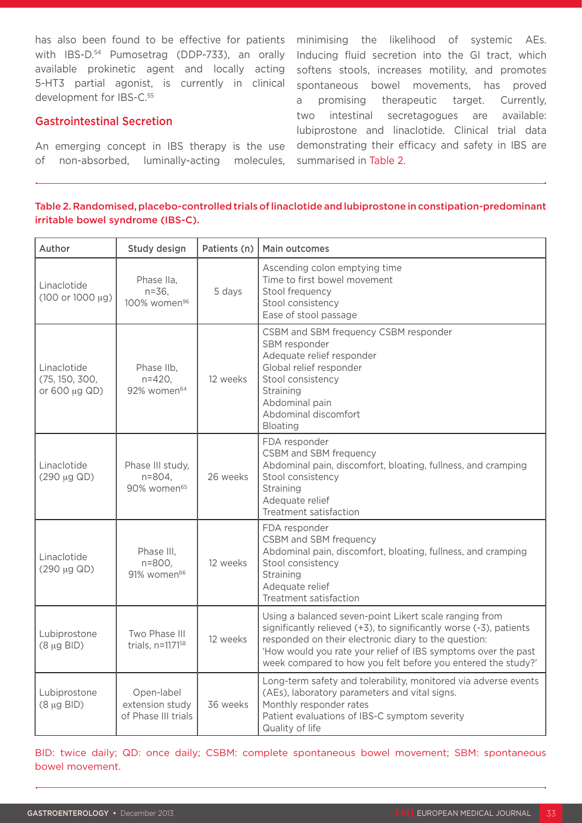with IBS-D.<sup>54</sup> Pumosetrag (DDP-733), an orally available prokinetic agent and locally acting 5-HT3 partial agonist, is currently in clinical development for IBS-C.<sup>55</sup>

#### Gastrointestinal Secretion

An emerging concept in IBS therapy is the use of non-absorbed, luminally-acting molecules, summarised in Table 2.

has also been found to be effective for patients minimising the likelihood of systemic AEs. Inducing fluid secretion into the GI tract, which softens stools, increases motility, and promotes spontaneous bowel movements, has proved a promising therapeutic target. Currently, two intestinal secretagogues are available: lubiprostone and linaclotide. Clinical trial data demonstrating their efficacy and safety in IBS are

#### Table 2. Randomised, placebo-controlled trials of linaclotide and lubiprostone in constipation-predominant irritable bowel syndrome (IBS-C).

| Author                                         | Study design                                          | Patients (n) | Main outcomes                                                                                                                                                                                                                                                                                                         |
|------------------------------------------------|-------------------------------------------------------|--------------|-----------------------------------------------------------------------------------------------------------------------------------------------------------------------------------------------------------------------------------------------------------------------------------------------------------------------|
| Linaclotide<br>$(100 or 1000 \mu g)$           | Phase IIa,<br>$n = 36$ .<br>100% women <sup>96</sup>  | 5 days       | Ascending colon emptying time<br>Time to first bowel movement<br>Stool frequency<br>Stool consistency<br>Ease of stool passage                                                                                                                                                                                        |
| Linaclotide<br>(75, 150, 300,<br>or 600 µg QD) | Phase IIb,<br>$n = 420.$<br>92% women <sup>64</sup>   | 12 weeks     | CSBM and SBM frequency CSBM responder<br>SBM responder<br>Adequate relief responder<br>Global relief responder<br>Stool consistency<br>Straining<br>Abdominal pain<br>Abdominal discomfort<br>Bloating                                                                                                                |
| Linaclotide<br>(290 µg QD)                     | Phase III study,<br>n=804,<br>90% women <sup>65</sup> | 26 weeks     | FDA responder<br>CSBM and SBM frequency<br>Abdominal pain, discomfort, bloating, fullness, and cramping<br>Stool consistency<br>Straining<br>Adequate relief<br>Treatment satisfaction                                                                                                                                |
| Linaclotide<br>(290 µg QD)                     | Phase III,<br>n=800,<br>91% women <sup>66</sup>       | 12 weeks     | FDA responder<br>CSBM and SBM frequency<br>Abdominal pain, discomfort, bloating, fullness, and cramping<br>Stool consistency<br>Straining<br>Adequate relief<br>Treatment satisfaction                                                                                                                                |
| Lubiprostone<br>$(8 \mu g$ BID)                | Two Phase III<br>trials, n=1171 <sup>58</sup>         | 12 weeks     | Using a balanced seven-point Likert scale ranging from<br>significantly relieved (+3), to significantly worse (-3), patients<br>responded on their electronic diary to the question:<br>'How would you rate your relief of IBS symptoms over the past<br>week compared to how you felt before you entered the study?' |
| Lubiprostone<br>$(8 \mu g$ BID)                | Open-label<br>extension study<br>of Phase III trials  | 36 weeks     | Long-term safety and tolerability, monitored via adverse events<br>(AEs), laboratory parameters and vital signs.<br>Monthly responder rates<br>Patient evaluations of IBS-C symptom severity<br>Quality of life                                                                                                       |

BID: twice daily; QD: once daily; CSBM: complete spontaneous bowel movement; SBM: spontaneous bowel movement.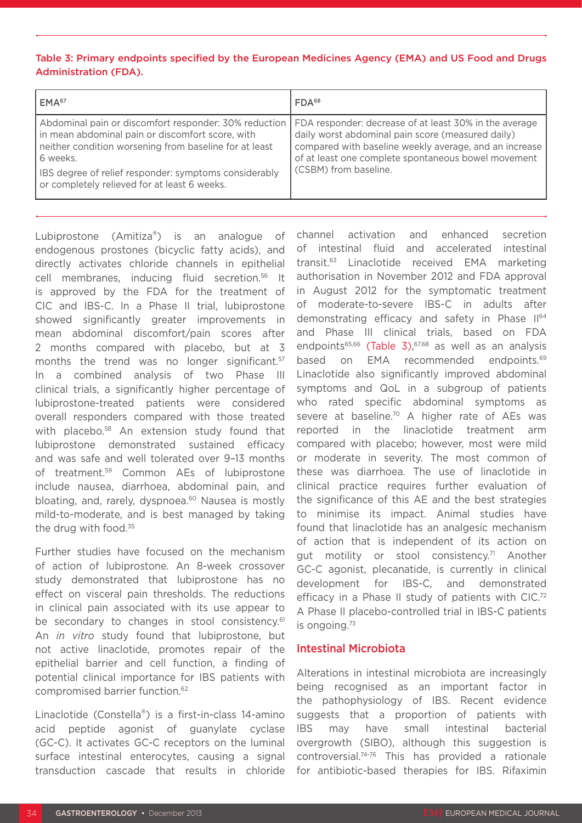#### Table 3: Primary endpoints specified by the European Medicines Agency (EMA) and US Food and Drugs Administration (FDA).

| EMA <sup>67</sup>                                                                                                                                                                                                                                                                               | FDA <sup>68</sup>                                                                                                                                                                                                                                     |
|-------------------------------------------------------------------------------------------------------------------------------------------------------------------------------------------------------------------------------------------------------------------------------------------------|-------------------------------------------------------------------------------------------------------------------------------------------------------------------------------------------------------------------------------------------------------|
| Abdominal pain or discomfort responder: 30% reduction<br>In mean abdominal pain or discomfort score, with<br>neither condition worsening from baseline for at least<br>6 weeks.<br><b>IBS</b> degree of relief responder: symptoms considerably<br>or completely relieved for at least 6 weeks. | FDA responder: decrease of at least 30% in the average<br>daily worst abdominal pain score (measured daily)<br>compared with baseline weekly average, and an increase<br>of at least one complete spontaneous bowel movement<br>(CSBM) from baseline. |

Lubiprostone (Amitiza®) is an analogue of endogenous prostones (bicyclic fatty acids), and directly activates chloride channels in epithelial cell membranes, inducing fluid secretion.56 It is approved by the FDA for the treatment of CIC and IBS-C. In a Phase II trial, lubiprostone showed significantly greater improvements in mean abdominal discomfort/pain scores after 2 months compared with placebo, but at 3 months the trend was no longer significant.<sup>57</sup> In a combined analysis of two Phase III clinical trials, a significantly higher percentage of lubiprostone-treated patients were considered overall responders compared with those treated with placebo.<sup>58</sup> An extension study found that lubiprostone demonstrated sustained efficacy and was safe and well tolerated over 9–13 months of treatment.59 Common AEs of lubiprostone include nausea, diarrhoea, abdominal pain, and bloating, and, rarely, dyspnoea.<sup>60</sup> Nausea is mostly mild-to-moderate, and is best managed by taking the drug with food.<sup>35</sup>

Further studies have focused on the mechanism of action of lubiprostone. An 8-week crossover study demonstrated that lubiprostone has no effect on visceral pain thresholds. The reductions in clinical pain associated with its use appear to be secondary to changes in stool consistency.<sup>61</sup> An *in vitro* study found that lubiprostone, but not active linaclotide, promotes repair of the epithelial barrier and cell function, a finding of potential clinical importance for IBS patients with compromised barrier function.62

Linaclotide (Constella®) is a first-in-class 14-amino acid peptide agonist of guanylate cyclase (GC-C). It activates GC-C receptors on the luminal surface intestinal enterocytes, causing a signal transduction cascade that results in chloride

channel activation and enhanced secretion of intestinal fluid and accelerated intestinal transit.63 Linaclotide received EMA marketing authorisation in November 2012 and FDA approval in August 2012 for the symptomatic treatment of moderate-to-severe IBS-C in adults after demonstrating efficacy and safety in Phase II<sup>64</sup> and Phase III clinical trials, based on FDA endpoints<sup>65,66</sup> (Table 3),  $67,68$  as well as an analysis based on EMA recommended endpoints.<sup>69</sup> Linaclotide also significantly improved abdominal symptoms and QoL in a subgroup of patients who rated specific abdominal symptoms as severe at baseline.<sup>70</sup> A higher rate of AEs was reported in the linaclotide treatment arm compared with placebo; however, most were mild or moderate in severity. The most common of these was diarrhoea. The use of linaclotide in clinical practice requires further evaluation of the significance of this AE and the best strategies to minimise its impact. Animal studies have found that linaclotide has an analgesic mechanism of action that is independent of its action on gut motility or stool consistency.<sup>71</sup> Another GC-C agonist, plecanatide, is currently in clinical development for IBS-C, and demonstrated efficacy in a Phase II study of patients with CIC.<sup>72</sup> A Phase II placebo-controlled trial in IBS-C patients is ongoing.<sup>73</sup>

#### Intestinal Microbiota

Alterations in intestinal microbiota are increasingly being recognised as an important factor in the pathophysiology of IBS. Recent evidence suggests that a proportion of patients with IBS may have small intestinal bacterial overgrowth (SIBO), although this suggestion is controversial.74-76 This has provided a rationale for antibiotic-based therapies for IBS. Rifaximin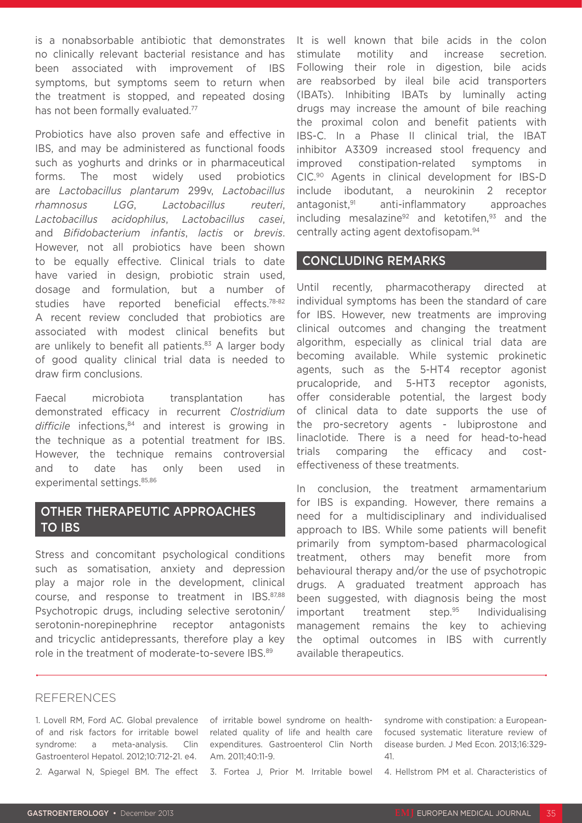is a nonabsorbable antibiotic that demonstrates no clinically relevant bacterial resistance and has been associated with improvement of IBS symptoms, but symptoms seem to return when the treatment is stopped, and repeated dosing has not been formally evaluated.<sup>77</sup>

Probiotics have also proven safe and effective in IBS, and may be administered as functional foods such as yoghurts and drinks or in pharmaceutical forms. The most widely used probiotics are *Lactobacillus plantarum* 299v, *Lactobacillus rhamnosus LGG*, *Lactobacillus reuteri*, *Lactobacillus acidophilus*, *Lactobacillus casei*, and *Bifidobacterium infantis*, *lactis* or *brevis*. However, not all probiotics have been shown to be equally effective. Clinical trials to date have varied in design, probiotic strain used, dosage and formulation, but a number of studies have reported beneficial effects.78-82 A recent review concluded that probiotics are associated with modest clinical benefits but are unlikely to benefit all patients. $83$  A larger body of good quality clinical trial data is needed to draw firm conclusions.

Faecal microbiota transplantation has demonstrated efficacy in recurrent *Clostridium*  difficile infections,<sup>84</sup> and interest is growing in the technique as a potential treatment for IBS. However, the technique remains controversial and to date has only been used in experimental settings. 85,86

## OTHER THERAPEUTIC APPROACHES TO IBS

Stress and concomitant psychological conditions such as somatisation, anxiety and depression play a major role in the development, clinical course, and response to treatment in IBS.87,88 Psychotropic drugs, including selective serotonin/ serotonin-norepinephrine receptor antagonists and tricyclic antidepressants, therefore play a key role in the treatment of moderate-to-severe IBS.89

It is well known that bile acids in the colon stimulate motility and increase secretion. Following their role in digestion, bile acids are reabsorbed by ileal bile acid transporters (IBATs). Inhibiting IBATs by luminally acting drugs may increase the amount of bile reaching the proximal colon and benefit patients with IBS-C. In a Phase II clinical trial, the IBAT inhibitor A3309 increased stool frequency and improved constipation-related symptoms in CIC.90 Agents in clinical development for IBS-D include ibodutant, a neurokinin 2 receptor antagonist,91 anti-inflammatory approaches including mesalazine<sup>92</sup> and ketotifen,  $93$  and the centrally acting agent dextofisopam.94

#### CONCLUDING REMARKS

Until recently, pharmacotherapy directed at individual symptoms has been the standard of care for IBS. However, new treatments are improving clinical outcomes and changing the treatment algorithm, especially as clinical trial data are becoming available. While systemic prokinetic agents, such as the 5-HT4 receptor agonist prucalopride, and 5-HT3 receptor agonists, offer considerable potential, the largest body of clinical data to date supports the use of the pro-secretory agents - lubiprostone and linaclotide. There is a need for head-to-head trials comparing the efficacy and costeffectiveness of these treatments.

In conclusion, the treatment armamentarium for IBS is expanding. However, there remains a need for a multidisciplinary and individualised approach to IBS. While some patients will benefit primarily from symptom-based pharmacological treatment, others may benefit more from behavioural therapy and/or the use of psychotropic drugs. A graduated treatment approach has been suggested, with diagnosis being the most important treatment step.<sup>95</sup> Individualising management remains the key to achieving the optimal outcomes in IBS with currently available therapeutics.

#### REFERENCES

1. Lovell RM, Ford AC. Global prevalence of irritable bowel syndrome on healthof and risk factors for irritable bowel related quality of life and health care syndrome: a meta-analysis. Gastroenterol Hepatol. 2012;10:712-21. e4.

Clin expenditures. Gastroenterol Clin North Am. 2011;40:11-9.

2. Agarwal N, Spiegel BM. The effect 3. Fortea J, Prior M. Irritable bowel

syndrome with constipation: a Europeanfocused systematic literature review of disease burden. J Med Econ. 2013;16:329- 41.

4. Hellstrom PM et al. Characteristics of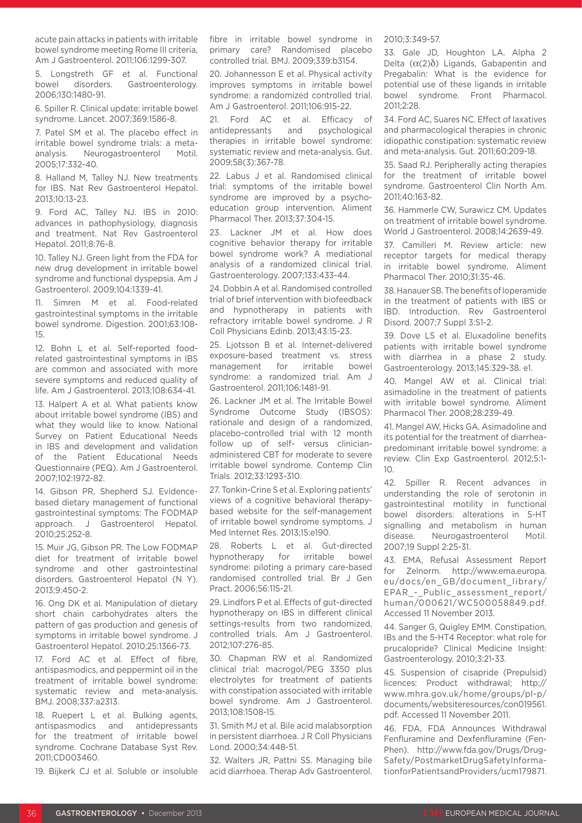acute pain attacks in patients with irritable bowel syndrome meeting Rome III criteria, Am J Gastroenterol. 2011;106:1299-307.

5. Longstreth GF et al. Functional bowel disorders. Gastroenterology. 2006;130:1480-91.

6. Spiller R. Clinical update: irritable bowel syndrome. Lancet. 2007;369:1586-8.

7. Patel SM et al. The placebo effect in irritable bowel syndrome trials: a metaanalysis. Neurogastroenterol Motil. 2005;17:332-40.

8. Halland M, Talley NJ. New treatments for IBS. Nat Rev Gastroenterol Hepatol. 2013;10:13-23.

9. Ford AC, Talley NJ. IBS in 2010: advances in pathophysiology, diagnosis and treatment. Nat Rev Gastroenterol Hepatol. 2011;8:76-8.

10. Talley NJ. Green light from the FDA for new drug development in irritable bowel syndrome and functional dyspepsia. Am J Gastroenterol. 2009;104:1339-41.

11. Simren M et al. Food-related gastrointestinal symptoms in the irritable bowel syndrome. Digestion. 2001;63:108- 15.

12. Bohn L et al. Self-reported foodrelated gastrointestinal symptoms in IBS are common and associated with more severe symptoms and reduced quality of life. Am J Gastroenterol. 2013;108:634-41.

13. Halpert A et al. What patients know about irritable bowel syndrome (IBS) and what they would like to know. National Survey on Patient Educational Needs in IBS and development and validation of the Patient Educational Needs Questionnaire (PEQ). Am J Gastroenterol. 2007;102:1972-82.

14. Gibson PR, Shepherd SJ. Evidencebased dietary management of functional gastrointestinal symptoms: The FODMAP approach. J Gastroenterol Hepatol. 2010;25:252-8.

15. Muir JG, Gibson PR. The Low FODMAP diet for treatment of irritable bowel syndrome and other gastrointestinal disorders. Gastroenterol Hepatol (N Y). 2013;9:450-2.

16. Ong DK et al. Manipulation of dietary short chain carbohydrates alters the pattern of gas production and genesis of symptoms in irritable bowel syndrome. J Gastroenterol Hepatol. 2010;25:1366-73.

17. Ford AC et al. Effect of fibre, antispasmodics, and peppermint oil in the treatment of irritable bowel syndrome: systematic review and meta-analysis. BMJ. 2008;337:a2313.

18. Ruepert L et al. Bulking agents, antispasmodics and antidepressants for the treatment of irritable bowel syndrome. Cochrane Database Syst Rev. 2011;CD003460.

19. Bijkerk CJ et al. Soluble or insoluble

fibre in irritable bowel syndrome in primary care? Randomised placebo controlled trial. BMJ. 2009;339:b3154.

20. Johannesson E et al. Physical activity improves symptoms in irritable bowel syndrome: a randomized controlled trial. Am J Gastroenterol. 2011;106:915-22.

21. Ford AC et al. Efficacy of antidepressants and psychological therapies in irritable bowel syndrome: systematic review and meta-analysis. Gut. 2009;58(3):367-78.

22. Labus J et al. Randomised clinical trial: symptoms of the irritable bowel syndrome are improved by a psychoeducation group intervention. Aliment Pharmacol Ther. 2013;37:304-15.

23. Lackner JM et al. How does cognitive behavior therapy for irritable bowel syndrome work? A mediational analysis of a randomized clinical trial. Gastroenterology. 2007;133:433-44.

24. Dobbin A et al. Randomised controlled trial of brief intervention with biofeedback and hypnotherapy in patients with refractory irritable bowel syndrome. J R Coll Physicians Edinb. 2013;43:15-23.

25. Ljotsson B et al. Internet-delivered exposure-based treatment vs. stress management for irritable bowel syndrome: a randomized trial. Am J Gastroenterol. 2011;106:1481-91.

26. Lackner JM et al. The Irritable Bowel Syndrome Outcome Study (IBSOS): rationale and design of a randomized, placebo-controlled trial with 12 month follow up of self- versus clinicianadministered CBT for moderate to severe irritable bowel syndrome. Contemp Clin Trials. 2012;33:1293-310.

27. Tonkin-Crine S et al. Exploring patients' views of a cognitive behavioral therapybased website for the self-management of irritable bowel syndrome symptoms. J Med Internet Res. 2013;15:e190.

28. Roberts L et al. Gut-directed hypnotherapy for irritable bowel syndrome: piloting a primary care-based randomised controlled trial. Br J Gen Pract. 2006;56:115-21.

29. Lindfors P et al. Effects of gut-directed hypnotherapy on IBS in different clinical settings-results from two randomized, controlled trials. Am J Gastroenterol. 2012;107:276-85.

30. Chapman RW et al. Randomized clinical trial: macrogol/PEG 3350 plus electrolytes for treatment of patients with constipation associated with irritable bowel syndrome. Am J Gastroenterol. 2013;108:1508-15.

31. Smith MJ et al. Bile acid malabsorption in persistent diarrhoea. J R Coll Physicians Lond. 2000;34:448-51.

32. Walters JR, Pattni SS. Managing bile acid diarrhoea. Therap Adv Gastroenterol. 2010;3:349-57.

33. Gale JD, Houghton LA. Alpha 2 Delta  $(α(2)δ)$  Ligands, Gabapentin and Pregabalin: What is the evidence for potential use of these ligands in irritable bowel syndrome. Front Pharmacol. 2011;2:28.

34. Ford AC, Suares NC. Effect of laxatives and pharmacological therapies in chronic idiopathic constipation: systematic review and meta-analysis. Gut. 2011;60:209-18.

35. Saad RJ. Peripherally acting therapies for the treatment of irritable bowel syndrome. Gastroenterol Clin North Am. 2011;40:163-82.

36. Hammerle CW, Surawicz CM. Updates on treatment of irritable bowel syndrome. World J Gastroenterol. 2008;14:2639-49.

37. Camilleri M. Review article: new receptor targets for medical therapy in irritable bowel syndrome. Aliment Pharmacol Ther. 2010;31:35-46.

38. Hanauer SB. The benefits of loperamide in the treatment of patients with IBS or IBD. Introduction. Rev Gastroenterol Disord. 2007;7 Suppl 3:S1-2.

39. Dove LS et al. Eluxadoline benefits patients with irritable bowel syndrome with diarrhea in a phase 2 study. Gastroenterology. 2013;145:329-38. e1.

40. Mangel AW et al. Clinical trial: asimadoline in the treatment of patients with irritable bowel syndrome. Aliment Pharmacol Ther. 2008;28:239-49.

41. Mangel AW, Hicks GA. Asimadoline and its potential for the treatment of diarrheapredominant irritable bowel syndrome: a review. Clin Exp Gastroenterol. 2012;5:1- 10.

42. Spiller R. Recent advances in understanding the role of serotonin in gastrointestinal motility in functional bowel disorders: alterations in 5-HT signalling and metabolism in human disease. Neurogastroenterol Motil. 2007;19 Suppl 2:25-31.

43. EMA, Refusal Assessment Report for Zelnorm. http://www.ema.europa. eu/docs/en\_GB/document\_library/ EPAR - Public assessment report/ human/000621/WC500058849.pdf. Accessed 11 November 2013.

44. Sanger G, Quigley EMM. Constipation, IBs and the 5-HT4 Receptor: what role for prucalopride? Clinical Medicine Insight: Gastroenterology. 2010;3:21-33.

45. Suspension of cisapride (Prepulsid) licences: Product withdrawal; http:// www.mhra.gov.uk/home/groups/pl-p/ documents/websiteresources/con019561. pdf. Accessed 11 November 2011.

46. FDA, FDA Announces Withdrawal Fenfluramine and Dexfenfluramine (Fen-Phen). http://www.fda.gov/Drugs/Drug-Safety/PostmarketDrugSafetyInformationforPatientsandProviders/ucm179871.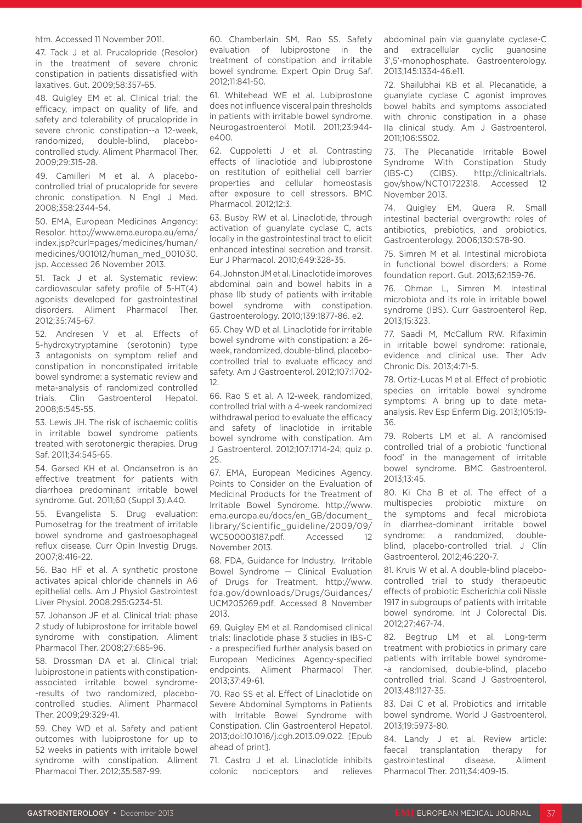#### htm. Accessed 11 November 2011.

47. Tack J et al. Prucalopride (Resolor) in the treatment of severe chronic constipation in patients dissatisfied with laxatives. Gut. 2009;58:357-65.

48. Quigley EM et al. Clinical trial: the efficacy, impact on quality of life, and safety and tolerability of prucalopride in severe chronic constipation--a 12-week, randomized, double-blind, placebocontrolled study. Aliment Pharmacol Ther. 2009;29:315-28.

49. Camilleri M et al. A placebocontrolled trial of prucalopride for severe chronic constipation. N Engl J Med. 2008;358:2344-54.

50. EMA, European Medicines Angency: Resolor. http://www.ema.europa.eu/ema/ index.jsp?curl=pages/medicines/human/ medicines/001012/human\_med\_001030. jsp. Accessed 26 November 2013.

51. Tack J et al. Systematic review: cardiovascular safety profile of 5-HT(4) agonists developed for gastrointestinal disorders. Aliment Pharmacol Ther. 2012;35:745-67.

52. Andresen V et al. Effects of 5-hydroxytryptamine (serotonin) type 3 antagonists on symptom relief and constipation in nonconstipated irritable bowel syndrome: a systematic review and meta-analysis of randomized controlled trials. Clin Gastroenterol Hepatol. 2008;6:545-55.

53. Lewis JH. The risk of ischaemic colitis in irritable bowel syndrome patients treated with serotonergic therapies. Drug Saf. 2011;34:545-65.

54. Garsed KH et al. Ondansetron is an effective treatment for patients with diarrhoea predominant irritable bowel syndrome. Gut. 2011;60 (Suppl 3):A40.

55. Evangelista S. Drug evaluation: Pumosetrag for the treatment of irritable bowel syndrome and gastroesophageal reflux disease. Curr Opin Investig Drugs. 2007;8:416-22.

56. Bao HF et al. A synthetic prostone activates apical chloride channels in A6 epithelial cells. Am J Physiol Gastrointest Liver Physiol. 2008;295:G234-51.

57. Johanson JF et al. Clinical trial: phase 2 study of lubiprostone for irritable bowel syndrome with constipation. Aliment Pharmacol Ther. 2008;27:685-96.

58. Drossman DA et al. Clinical trial: lubiprostone in patients with constipationassociated irritable bowel syndrome- -results of two randomized, placebocontrolled studies. Aliment Pharmacol Ther. 2009;29:329-41.

59. Chey WD et al. Safety and patient outcomes with lubiprostone for up to 52 weeks in patients with irritable bowel syndrome with constipation. Aliment Pharmacol Ther. 2012;35:587-99.

60. Chamberlain SM, Rao SS. Safety evaluation of lubiprostone in the treatment of constipation and irritable bowel syndrome. Expert Opin Drug Saf. 2012;11:841-50.

61. Whitehead WE et al. Lubiprostone does not influence visceral pain thresholds in patients with irritable bowel syndrome. Neurogastroenterol Motil. 2011;23:944 e400.

62. Cuppoletti J et al. Contrasting effects of linaclotide and lubiprostone on restitution of epithelial cell barrier properties and cellular homeostasis after exposure to cell stressors. BMC Pharmacol. 2012;12:3.

63. Busby RW et al. Linaclotide, through activation of guanylate cyclase C, acts locally in the gastrointestinal tract to elicit enhanced intestinal secretion and transit. Eur J Pharmacol. 2010;649:328-35.

64. Johnston JM et al. Linaclotide improves abdominal pain and bowel habits in a phase IIb study of patients with irritable bowel syndrome with constipation. Gastroenterology. 2010;139:1877-86. e2.

65. Chey WD et al. Linaclotide for irritable bowel syndrome with constipation: a 26 week, randomized, double-blind, placebocontrolled trial to evaluate efficacy and safety. Am J Gastroenterol. 2012;107:1702- 12.

66. Rao S et al. A 12-week, randomized, controlled trial with a 4-week randomized withdrawal period to evaluate the efficacy and safety of linaclotide in irritable bowel syndrome with constipation. Am J Gastroenterol. 2012;107:1714-24; quiz p. 25.

67. EMA, European Medicines Agency. Points to Consider on the Evaluation of Medicinal Products for the Treatment of Irritable Bowel Syndrome. http://www. ema.europa.eu/docs/en\_GB/document\_ library/Scientific\_guideline/2009/09/ WC500003187.pdf. Accessed 12 November 2013.

68. FDA, Guidance for Industry. Irritable Bowel Syndrome — Clinical Evaluation of Drugs for Treatment. http://www. fda.gov/downloads/Drugs/Guidances/ UCM205269.pdf. Accessed 8 November 2013.

69. Quigley EM et al. Randomised clinical trials: linaclotide phase 3 studies in IBS-C - a prespecified further analysis based on European Medicines Agency-specified endpoints. Aliment Pharmacol Ther. 2013;37:49-61.

70. Rao SS et al. Effect of Linaclotide on Severe Abdominal Symptoms in Patients with Irritable Bowel Syndrome with Constipation. Clin Gastroenterol Hepatol. 2013;doi:10.1016/j.cgh.2013.09.022. [Epub ahead of print].

71. Castro J et al. Linaclotide inhibits colonic nociceptors and relieves abdominal pain via guanylate cyclase-C and extracellular cyclic guanosine 3',5'-monophosphate. Gastroenterology. 2013;145:1334-46.e11.

72. Shailubhai KB et al. Plecanatide, a guanylate cyclase C agonist improves bowel habits and symptoms associated with chronic constipation in a phase IIa clinical study. Am J Gastroenterol. 2011;106:S502.

73. The Plecanatide Irritable Bowel Syndrome With Constipation Study (IBS-C) (CIBS). http://clinicaltrials. gov/show/NCT01722318. Accessed 12 November 2013.

74. Quigley EM, Quera R. Small intestinal bacterial overgrowth: roles of antibiotics, prebiotics, and probiotics. Gastroenterology. 2006;130:S78-90.

75. Simren M et al. Intestinal microbiota in functional bowel disorders: a Rome foundation report. Gut. 2013;62:159-76.

76. Ohman L, Simren M. Intestinal microbiota and its role in irritable bowel syndrome (IBS). Curr Gastroenterol Rep. 2013;15:323.

77. Saadi M, McCallum RW. Rifaximin in irritable bowel syndrome: rationale, evidence and clinical use. Ther Adv Chronic Dis. 2013;4:71-5.

78. Ortiz-Lucas M et al. Effect of probiotic species on irritable bowel syndrome symptoms: A bring up to date metaanalysis. Rev Esp Enferm Dig. 2013;105:19- 36.

79. Roberts LM et al. A randomised controlled trial of a probiotic 'functional food' in the management of irritable bowel syndrome. BMC Gastroenterol. 2013;13:45.

80. Ki Cha B et al. The effect of a multispecies probiotic mixture on the symptoms and fecal microbiota in diarrhea-dominant irritable bowel syndrome: a randomized, doubleblind, placebo-controlled trial. J Clin Gastroenterol. 2012;46:220-7.

81. Kruis W et al. A double-blind placebocontrolled trial to study therapeutic effects of probiotic Escherichia coli Nissle 1917 in subgroups of patients with irritable bowel syndrome. Int J Colorectal Dis. 2012;27:467-74.

82. Begtrup LM et al. Long-term treatment with probiotics in primary care patients with irritable bowel syndrome- -a randomised, double-blind, placebo controlled trial. Scand J Gastroenterol. 2013;48:1127-35.

83. Dai C et al. Probiotics and irritable bowel syndrome. World J Gastroenterol. 2013;19:5973-80.

84. Landy J et al. Review article: faecal transplantation therapy for gastrointestinal disease. Aliment Pharmacol Ther. 2011;34:409-15.